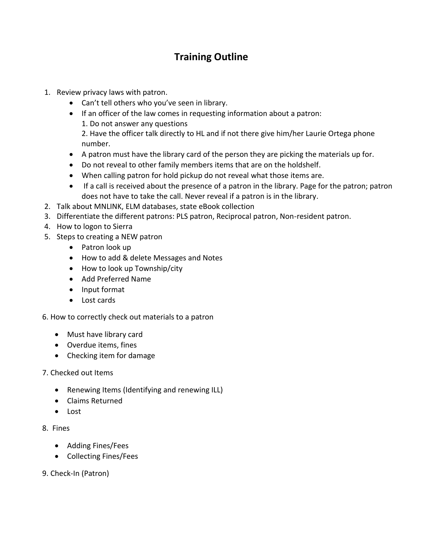## **Training Outline**

- 1. Review privacy laws with patron.
	- Can't tell others who you've seen in library.
	- If an officer of the law comes in requesting information about a patron: 1. Do not answer any questions

2. Have the officer talk directly to HL and if not there give him/her Laurie Ortega phone number.

- A patron must have the library card of the person they are picking the materials up for.
- Do not reveal to other family members items that are on the holdshelf.
- When calling patron for hold pickup do not reveal what those items are.
- If a call is received about the presence of a patron in the library. Page for the patron; patron does not have to take the call. Never reveal if a patron is in the library.
- 2. Talk about MNLINK, ELM databases, state eBook collection
- 3. Differentiate the different patrons: PLS patron, Reciprocal patron, Non-resident patron.
- 4. How to logon to Sierra
- 5. Steps to creating a NEW patron
	- Patron look up
	- How to add & delete Messages and Notes
	- How to look up Township/city
	- Add Preferred Name
	- Input format
	- Lost cards

6. How to correctly check out materials to a patron

- Must have library card
- Overdue items, fines
- Checking item for damage
- 7. Checked out Items
	- Renewing Items (Identifying and renewing ILL)
	- Claims Returned
	- Lost
- 8. Fines
	- Adding Fines/Fees
	- Collecting Fines/Fees
- 9. Check-In (Patron)